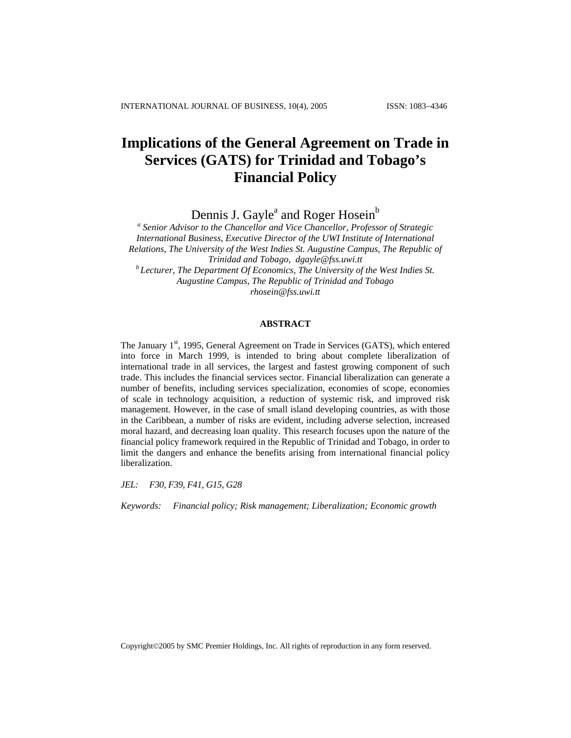# **Implications of the General Agreement on Trade in Services (GATS) for Trinidad and Tobago's Financial Policy**

Dennis J. Gayle<sup>a</sup> and Roger Hosein<sup>b</sup>

<sup>a</sup> Senior Advisor to the Chancellor and Vice Chancellor, Professor of Strategic *International Business, Executive Director of the UWI Institute of International Relations, The University of the West Indies St. Augustine Campus, The Republic of Trinidad and Tobago, dgayle@fss.uwi.tt b Lecturer, The Department Of Economics, The University of the West Indies St. Augustine Campus, The Republic of Trinidad and Tobago [rhosein@fss.uwi.tt](mailto:Rhosein@fss.uwi.tt)*

#### **ABSTRACT**

The January 1<sup>st</sup>, 1995, General Agreement on Trade in Services (GATS), which entered into force in March 1999, is intended to bring about complete liberalization of international trade in all services, the largest and fastest growing component of such trade. This includes the financial services sector. Financial liberalization can generate a number of benefits, including services specialization, economies of scope, economies of scale in technology acquisition, a reduction of systemic risk, and improved risk management. However, in the case of small island developing countries, as with those in the Caribbean, a number of risks are evident, including adverse selection, increased moral hazard, and decreasing loan quality. This research focuses upon the nature of the financial policy framework required in the Republic of Trinidad and Tobago, in order to limit the dangers and enhance the benefits arising from international financial policy liberalization.

*JEL: F30, F39, F41, G15, G28* 

*Keywords: Financial policy; Risk management; Liberalization; Economic growth*

Copyright©2005 by SMC Premier Holdings, Inc. All rights of reproduction in any form reserved.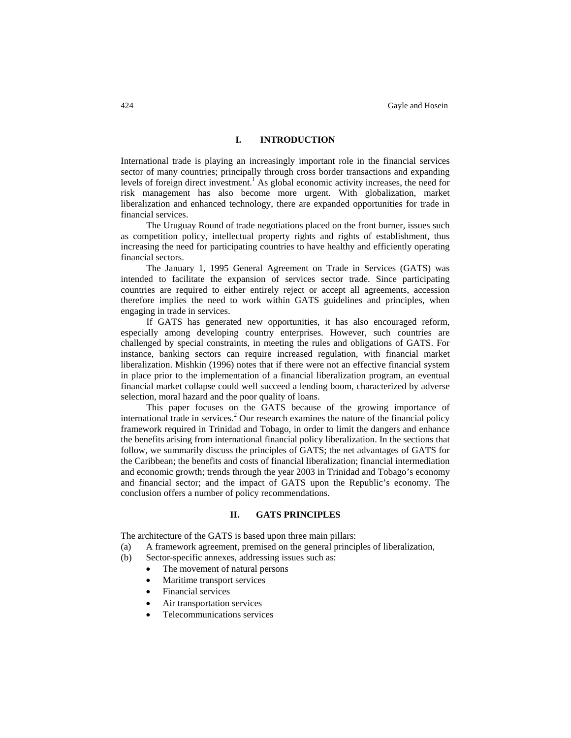## **I. INTRODUCTION**

International trade is playing an increasingly important role in the financial services sector of many countries; principally through cross border transactions and expanding levels of foreign direct investment.<sup>1</sup> As global economic activity increases, the need for risk management has also become more urgent. With globalization, market liberalization and enhanced technology, there are expanded opportunities for trade in financial services.

The Uruguay Round of trade negotiations placed on the front burner, issues such as competition policy, intellectual property rights and rights of establishment, thus increasing the need for participating countries to have healthy and efficiently operating financial sectors.

The January 1, 1995 General Agreement on Trade in Services (GATS) was intended to facilitate the expansion of services sector trade. Since participating countries are required to either entirely reject or accept all agreements, accession therefore implies the need to work within GATS guidelines and principles, when engaging in trade in services.

If GATS has generated new opportunities, it has also encouraged reform, especially among developing country enterprises. However, such countries are challenged by special constraints, in meeting the rules and obligations of GATS. For instance, banking sectors can require increased regulation, with financial market liberalization. Mishkin (1996) notes that if there were not an effective financial system in place prior to the implementation of a financial liberalization program, an eventual financial market collapse could well succeed a lending boom, characterized by adverse selection, moral hazard and the poor quality of loans.

This paper focuses on the GATS because of the growing importance of international trade in services.<sup>2</sup> Our research examines the nature of the financial policy framework required in Trinidad and Tobago, in order to limit the dangers and enhance the benefits arising from international financial policy liberalization. In the sections that follow, we summarily discuss the principles of GATS; the net advantages of GATS for the Caribbean; the benefits and costs of financial liberalization; financial intermediation and economic growth; trends through the year 2003 in Trinidad and Tobago's economy and financial sector; and the impact of GATS upon the Republic's economy. The conclusion offers a number of policy recommendations.

## **II. GATS PRINCIPLES**

The architecture of the GATS is based upon three main pillars:

- (a) A framework agreement, premised on the general principles of liberalization,
- (b) Sector-specific annexes, addressing issues such as:
	- The movement of natural persons
	- Maritime transport services
	- Financial services
	- Air transportation services
	- Telecommunications services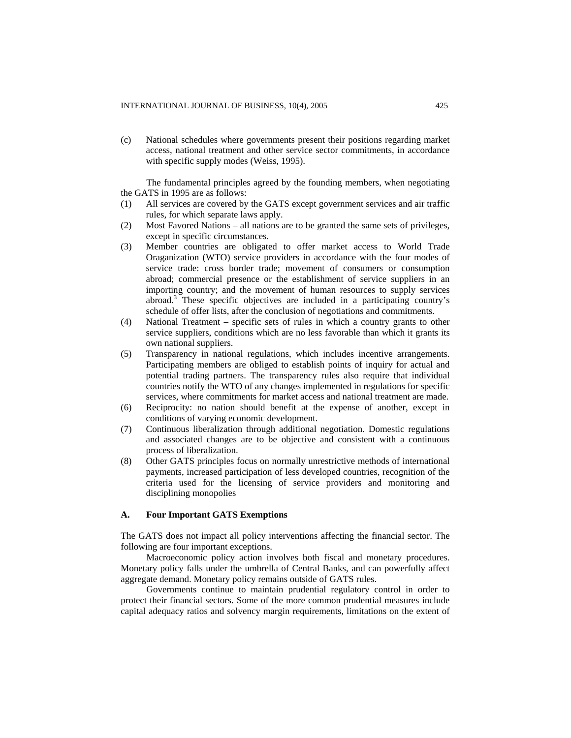(c) National schedules where governments present their positions regarding market access, national treatment and other service sector commitments, in accordance with specific supply modes (Weiss, 1995).

The fundamental principles agreed by the founding members, when negotiating the GATS in 1995 are as follows:

- (1) All services are covered by the GATS except government services and air traffic rules, for which separate laws apply.
- (2) Most Favored Nations all nations are to be granted the same sets of privileges, except in specific circumstances.
- (3) Member countries are obligated to offer market access to World Trade Oraganization (WTO) service providers in accordance with the four modes of service trade: cross border trade; movement of consumers or consumption abroad; commercial presence or the establishment of service suppliers in an importing country; and the movement of human resources to supply services abroad.<sup>3</sup> These specific objectives are included in a participating country's schedule of offer lists, after the conclusion of negotiations and commitments.
- (4) National Treatment specific sets of rules in which a country grants to other service suppliers, conditions which are no less favorable than which it grants its own national suppliers.
- (5) Transparency in national regulations, which includes incentive arrangements. Participating members are obliged to establish points of inquiry for actual and potential trading partners. The transparency rules also require that individual countries notify the WTO of any changes implemented in regulations for specific services, where commitments for market access and national treatment are made.
- (6) Reciprocity: no nation should benefit at the expense of another, except in conditions of varying economic development.
- (7) Continuous liberalization through additional negotiation. Domestic regulations and associated changes are to be objective and consistent with a continuous process of liberalization.
- (8) Other GATS principles focus on normally unrestrictive methods of international payments, increased participation of less developed countries, recognition of the criteria used for the licensing of service providers and monitoring and disciplining monopolies

## **A. Four Important GATS Exemptions**

The GATS does not impact all policy interventions affecting the financial sector. The following are four important exceptions.

Macroeconomic policy action involves both fiscal and monetary procedures. Monetary policy falls under the umbrella of Central Banks, and can powerfully affect aggregate demand. Monetary policy remains outside of GATS rules.

Governments continue to maintain prudential regulatory control in order to protect their financial sectors. Some of the more common prudential measures include capital adequacy ratios and solvency margin requirements, limitations on the extent of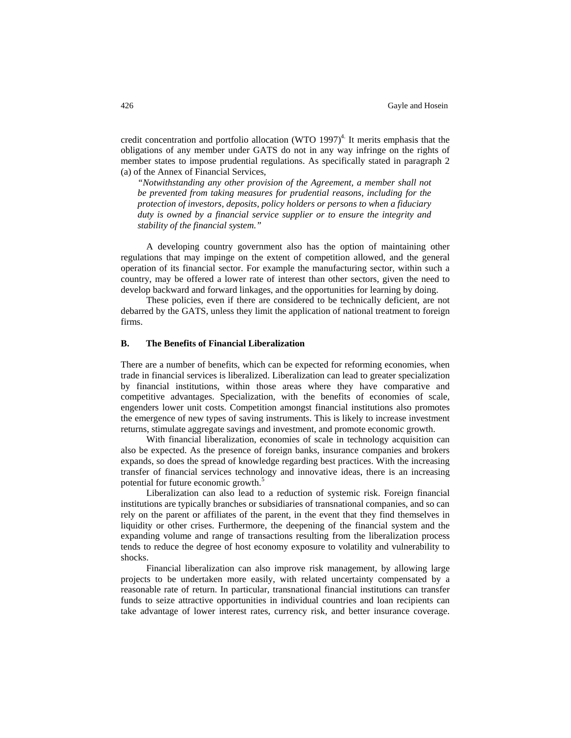credit concentration and portfolio allocation (WTO 1997)<sup>4.</sup> It merits emphasis that the obligations of any member under GATS do not in any way infringe on the rights of member states to impose prudential regulations. As specifically stated in paragraph 2 (a) of the Annex of Financial Services,

*"Notwithstanding any other provision of the Agreement, a member shall not be prevented from taking measures for prudential reasons, including for the protection of investors, deposits, policy holders or persons to when a fiduciary duty is owned by a financial service supplier or to ensure the integrity and stability of the financial system."* 

A developing country government also has the option of maintaining other regulations that may impinge on the extent of competition allowed, and the general operation of its financial sector. For example the manufacturing sector, within such a country, may be offered a lower rate of interest than other sectors, given the need to develop backward and forward linkages, and the opportunities for learning by doing.

These policies, even if there are considered to be technically deficient, are not debarred by the GATS, unless they limit the application of national treatment to foreign firms.

## **B. The Benefits of Financial Liberalization**

There are a number of benefits, which can be expected for reforming economies, when trade in financial services is liberalized. Liberalization can lead to greater specialization by financial institutions, within those areas where they have comparative and competitive advantages. Specialization, with the benefits of economies of scale, engenders lower unit costs. Competition amongst financial institutions also promotes the emergence of new types of saving instruments. This is likely to increase investment returns, stimulate aggregate savings and investment, and promote economic growth.

With financial liberalization, economies of scale in technology acquisition can also be expected. As the presence of foreign banks, insurance companies and brokers expands, so does the spread of knowledge regarding best practices. With the increasing transfer of financial services technology and innovative ideas, there is an increasing potential for future economic growth.<sup>5</sup>

Liberalization can also lead to a reduction of systemic risk. Foreign financial institutions are typically branches or subsidiaries of transnational companies, and so can rely on the parent or affiliates of the parent, in the event that they find themselves in liquidity or other crises. Furthermore, the deepening of the financial system and the expanding volume and range of transactions resulting from the liberalization process tends to reduce the degree of host economy exposure to volatility and vulnerability to shocks.

Financial liberalization can also improve risk management, by allowing large projects to be undertaken more easily, with related uncertainty compensated by a reasonable rate of return. In particular, transnational financial institutions can transfer funds to seize attractive opportunities in individual countries and loan recipients can take advantage of lower interest rates, currency risk, and better insurance coverage.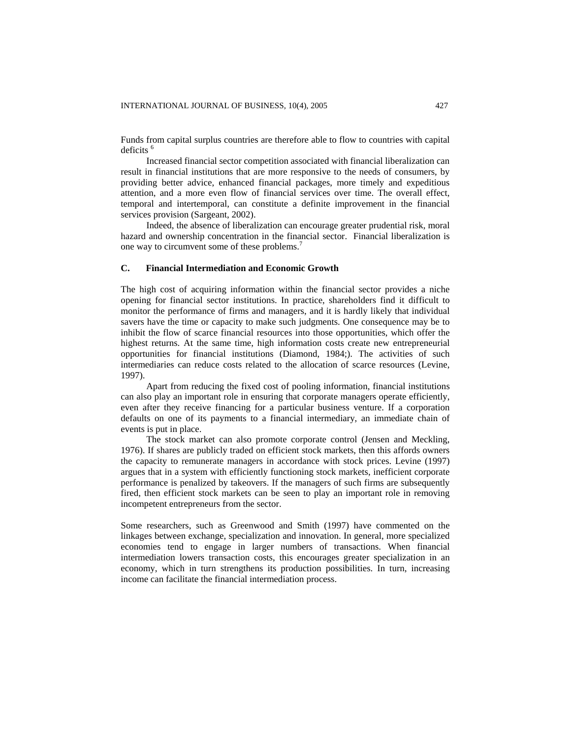Funds from capital surplus countries are therefore able to flow to countries with capital deficits<sup>6</sup>

Increased financial sector competition associated with financial liberalization can result in financial institutions that are more responsive to the needs of consumers, by providing better advice, enhanced financial packages, more timely and expeditious attention, and a more even flow of financial services over time. The overall effect, temporal and intertemporal, can constitute a definite improvement in the financial services provision (Sargeant, 2002).

Indeed, the absence of liberalization can encourage greater prudential risk, moral hazard and ownership concentration in the financial sector. Financial liberalization is one way to circumvent some of these problems.<sup>7</sup>

#### **C. Financial Intermediation and Economic Growth**

The high cost of acquiring information within the financial sector provides a niche opening for financial sector institutions. In practice, shareholders find it difficult to monitor the performance of firms and managers, and it is hardly likely that individual savers have the time or capacity to make such judgments. One consequence may be to inhibit the flow of scarce financial resources into those opportunities, which offer the highest returns. At the same time, high information costs create new entrepreneurial opportunities for financial institutions (Diamond, 1984;). The activities of such intermediaries can reduce costs related to the allocation of scarce resources (Levine, 1997).

Apart from reducing the fixed cost of pooling information, financial institutions can also play an important role in ensuring that corporate managers operate efficiently, even after they receive financing for a particular business venture. If a corporation defaults on one of its payments to a financial intermediary, an immediate chain of events is put in place.

The stock market can also promote corporate control (Jensen and Meckling, 1976). If shares are publicly traded on efficient stock markets, then this affords owners the capacity to remunerate managers in accordance with stock prices. Levine (1997) argues that in a system with efficiently functioning stock markets, inefficient corporate performance is penalized by takeovers. If the managers of such firms are subsequently fired, then efficient stock markets can be seen to play an important role in removing incompetent entrepreneurs from the sector.

Some researchers, such as Greenwood and Smith (1997) have commented on the linkages between exchange, specialization and innovation. In general, more specialized economies tend to engage in larger numbers of transactions. When financial intermediation lowers transaction costs, this encourages greater specialization in an economy, which in turn strengthens its production possibilities. In turn, increasing income can facilitate the financial intermediation process.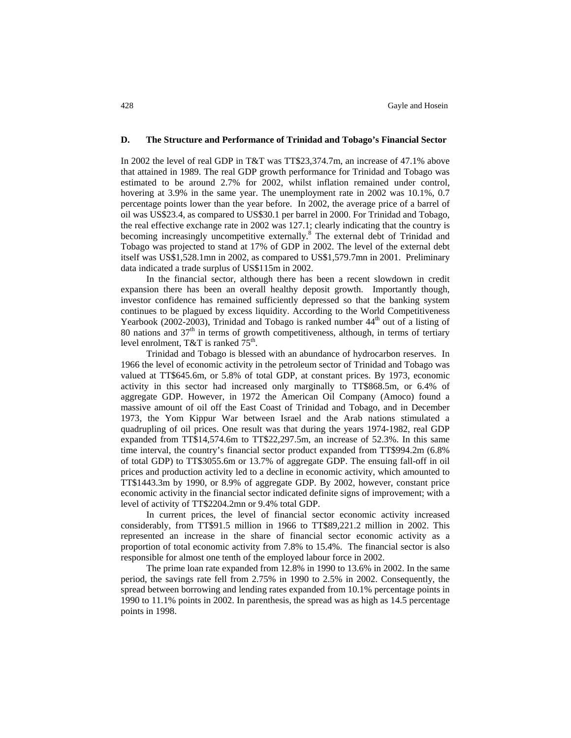#### **D. The Structure and Performance of Trinidad and Tobago's Financial Sector**

In 2002 the level of real GDP in T&T was TT\$23,374.7m, an increase of 47.1% above that attained in 1989. The real GDP growth performance for Trinidad and Tobago was estimated to be around 2.7% for 2002, whilst inflation remained under control, hovering at 3.9% in the same year. The unemployment rate in 2002 was 10.1%, 0.7 percentage points lower than the year before. In 2002, the average price of a barrel of oil was US\$23.4, as compared to US\$30.1 per barrel in 2000. For Trinidad and Tobago, the real effective exchange rate in 2002 was 127.1; clearly indicating that the country is becoming increasingly uncompetitive externally.<sup>8</sup> The external debt of Trinidad and Tobago was projected to stand at 17% of GDP in 2002. The level of the external debt itself was US\$1,528.1mn in 2002, as compared to US\$1,579.7mn in 2001. Preliminary data indicated a trade surplus of US\$115m in 2002.

In the financial sector, although there has been a recent slowdown in credit expansion there has been an overall healthy deposit growth. Importantly though, investor confidence has remained sufficiently depressed so that the banking system continues to be plagued by excess liquidity. According to the World Competitiveness Yearbook (2002-2003), Trinidad and Tobago is ranked number  $44<sup>th</sup>$  out of a listing of 80 nations and  $37<sup>th</sup>$  in terms of growth competitiveness, although, in terms of tertiary level enrolment, T&T is ranked  $75<sup>th</sup>$ .

Trinidad and Tobago is blessed with an abundance of hydrocarbon reserves. In 1966 the level of economic activity in the petroleum sector of Trinidad and Tobago was valued at TT\$645.6m, or 5.8% of total GDP, at constant prices. By 1973, economic activity in this sector had increased only marginally to TT\$868.5m, or 6.4% of aggregate GDP. However, in 1972 the American Oil Company (Amoco) found a massive amount of oil off the East Coast of Trinidad and Tobago, and in December 1973, the Yom Kippur War between Israel and the Arab nations stimulated a quadrupling of oil prices. One result was that during the years 1974-1982, real GDP expanded from TT\$14,574.6m to TT\$22,297.5m, an increase of 52.3%. In this same time interval, the country's financial sector product expanded from TT\$994.2m (6.8% of total GDP) to TT\$3055.6m or 13.7% of aggregate GDP. The ensuing fall-off in oil prices and production activity led to a decline in economic activity, which amounted to TT\$1443.3m by 1990, or 8.9% of aggregate GDP. By 2002, however, constant price economic activity in the financial sector indicated definite signs of improvement; with a level of activity of TT\$2204.2mn or 9.4% total GDP.

In current prices, the level of financial sector economic activity increased considerably, from TT\$91.5 million in 1966 to TT\$89,221.2 million in 2002. This represented an increase in the share of financial sector economic activity as a proportion of total economic activity from 7.8% to 15.4%. The financial sector is also responsible for almost one tenth of the employed labour force in 2002.

The prime loan rate expanded from 12.8% in 1990 to 13.6% in 2002. In the same period, the savings rate fell from 2.75% in 1990 to 2.5% in 2002. Consequently, the spread between borrowing and lending rates expanded from 10.1% percentage points in 1990 to 11.1% points in 2002. In parenthesis, the spread was as high as 14.5 percentage points in 1998.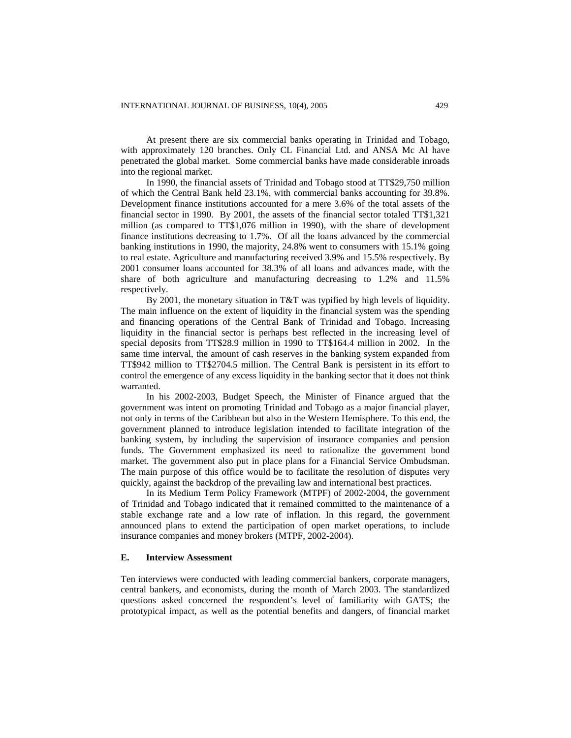At present there are six commercial banks operating in Trinidad and Tobago, with approximately 120 branches. Only CL Financial Ltd. and ANSA Mc Al have penetrated the global market. Some commercial banks have made considerable inroads into the regional market.

In 1990, the financial assets of Trinidad and Tobago stood at TT\$29,750 million of which the Central Bank held 23.1%, with commercial banks accounting for 39.8%. Development finance institutions accounted for a mere 3.6% of the total assets of the financial sector in 1990. By 2001, the assets of the financial sector totaled TT\$1,321 million (as compared to TT\$1,076 million in 1990), with the share of development finance institutions decreasing to 1.7%. Of all the loans advanced by the commercial banking institutions in 1990, the majority, 24.8% went to consumers with 15.1% going to real estate. Agriculture and manufacturing received 3.9% and 15.5% respectively. By 2001 consumer loans accounted for 38.3% of all loans and advances made, with the share of both agriculture and manufacturing decreasing to 1.2% and 11.5% respectively.

By 2001, the monetary situation in T&T was typified by high levels of liquidity. The main influence on the extent of liquidity in the financial system was the spending and financing operations of the Central Bank of Trinidad and Tobago. Increasing liquidity in the financial sector is perhaps best reflected in the increasing level of special deposits from TT\$28.9 million in 1990 to TT\$164.4 million in 2002. In the same time interval, the amount of cash reserves in the banking system expanded from TT\$942 million to TT\$2704.5 million. The Central Bank is persistent in its effort to control the emergence of any excess liquidity in the banking sector that it does not think warranted.

In his 2002-2003, Budget Speech, the Minister of Finance argued that the government was intent on promoting Trinidad and Tobago as a major financial player, not only in terms of the Caribbean but also in the Western Hemisphere. To this end, the government planned to introduce legislation intended to facilitate integration of the banking system, by including the supervision of insurance companies and pension funds. The Government emphasized its need to rationalize the government bond market. The government also put in place plans for a Financial Service Ombudsman. The main purpose of this office would be to facilitate the resolution of disputes very quickly, against the backdrop of the prevailing law and international best practices.

In its Medium Term Policy Framework (MTPF) of 2002-2004, the government of Trinidad and Tobago indicated that it remained committed to the maintenance of a stable exchange rate and a low rate of inflation. In this regard, the government announced plans to extend the participation of open market operations, to include insurance companies and money brokers (MTPF, 2002-2004).

#### **E. Interview Assessment**

Ten interviews were conducted with leading commercial bankers, corporate managers, central bankers, and economists, during the month of March 2003. The standardized questions asked concerned the respondent's level of familiarity with GATS; the prototypical impact, as well as the potential benefits and dangers, of financial market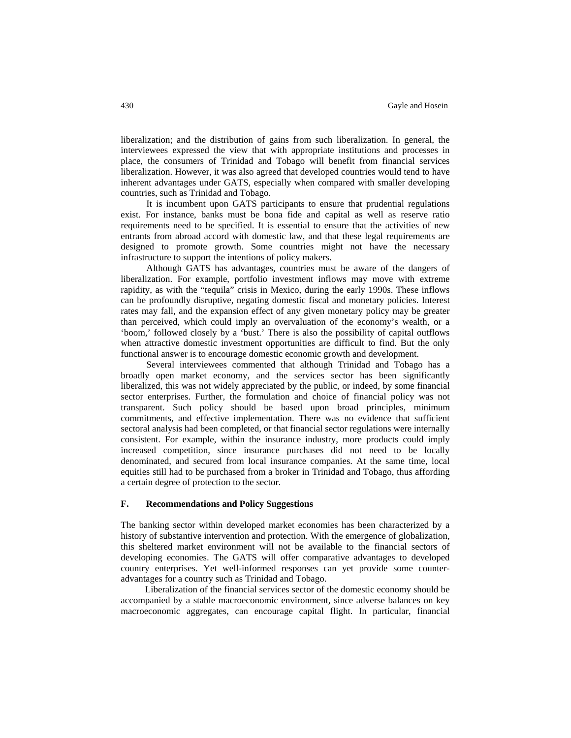liberalization; and the distribution of gains from such liberalization. In general, the interviewees expressed the view that with appropriate institutions and processes in place, the consumers of Trinidad and Tobago will benefit from financial services liberalization. However, it was also agreed that developed countries would tend to have inherent advantages under GATS, especially when compared with smaller developing countries, such as Trinidad and Tobago.

It is incumbent upon GATS participants to ensure that prudential regulations exist. For instance, banks must be bona fide and capital as well as reserve ratio requirements need to be specified. It is essential to ensure that the activities of new entrants from abroad accord with domestic law, and that these legal requirements are designed to promote growth. Some countries might not have the necessary infrastructure to support the intentions of policy makers.

Although GATS has advantages, countries must be aware of the dangers of liberalization. For example, portfolio investment inflows may move with extreme rapidity, as with the "tequila" crisis in Mexico, during the early 1990s. These inflows can be profoundly disruptive, negating domestic fiscal and monetary policies. Interest rates may fall, and the expansion effect of any given monetary policy may be greater than perceived, which could imply an overvaluation of the economy's wealth, or a 'boom,' followed closely by a 'bust.' There is also the possibility of capital outflows when attractive domestic investment opportunities are difficult to find. But the only functional answer is to encourage domestic economic growth and development.

Several interviewees commented that although Trinidad and Tobago has a broadly open market economy, and the services sector has been significantly liberalized, this was not widely appreciated by the public, or indeed, by some financial sector enterprises. Further, the formulation and choice of financial policy was not transparent. Such policy should be based upon broad principles, minimum commitments, and effective implementation. There was no evidence that sufficient sectoral analysis had been completed, or that financial sector regulations were internally consistent. For example, within the insurance industry, more products could imply increased competition, since insurance purchases did not need to be locally denominated, and secured from local insurance companies. At the same time, local equities still had to be purchased from a broker in Trinidad and Tobago, thus affording a certain degree of protection to the sector.

#### **F. Recommendations and Policy Suggestions**

The banking sector within developed market economies has been characterized by a history of substantive intervention and protection. With the emergence of globalization, this sheltered market environment will not be available to the financial sectors of developing economies. The GATS will offer comparative advantages to developed country enterprises. Yet well-informed responses can yet provide some counteradvantages for a country such as Trinidad and Tobago.

 Liberalization of the financial services sector of the domestic economy should be accompanied by a stable macroeconomic environment, since adverse balances on key macroeconomic aggregates, can encourage capital flight. In particular, financial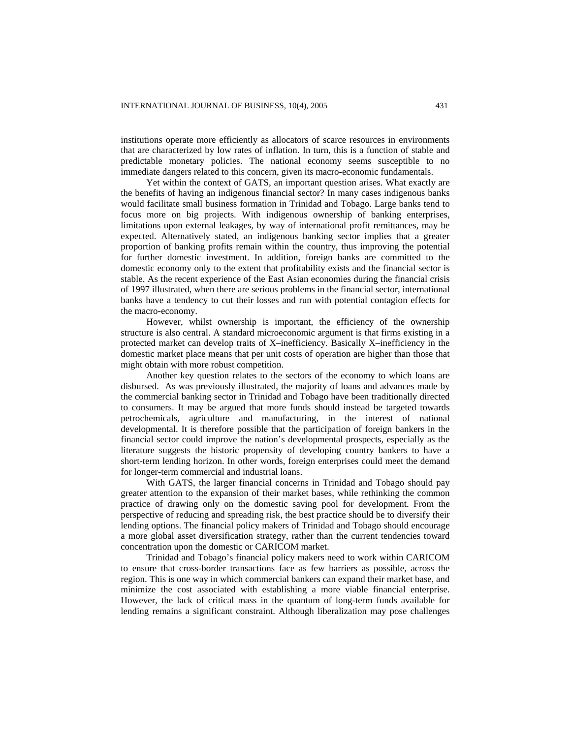institutions operate more efficiently as allocators of scarce resources in environments that are characterized by low rates of inflation. In turn, this is a function of stable and predictable monetary policies. The national economy seems susceptible to no immediate dangers related to this concern, given its macro-economic fundamentals.

Yet within the context of GATS, an important question arises. What exactly are the benefits of having an indigenous financial sector? In many cases indigenous banks would facilitate small business formation in Trinidad and Tobago. Large banks tend to focus more on big projects. With indigenous ownership of banking enterprises, limitations upon external leakages, by way of international profit remittances, may be expected. Alternatively stated, an indigenous banking sector implies that a greater proportion of banking profits remain within the country, thus improving the potential for further domestic investment. In addition, foreign banks are committed to the domestic economy only to the extent that profitability exists and the financial sector is stable. As the recent experience of the East Asian economies during the financial crisis of 1997 illustrated, when there are serious problems in the financial sector, international banks have a tendency to cut their losses and run with potential contagion effects for the macro-economy.

However, whilst ownership is important, the efficiency of the ownership structure is also central. A standard microeconomic argument is that firms existing in a protected market can develop traits of X–inefficiency. Basically X–inefficiency in the domestic market place means that per unit costs of operation are higher than those that might obtain with more robust competition.

Another key question relates to the sectors of the economy to which loans are disbursed. As was previously illustrated, the majority of loans and advances made by the commercial banking sector in Trinidad and Tobago have been traditionally directed to consumers. It may be argued that more funds should instead be targeted towards petrochemicals, agriculture and manufacturing, in the interest of national developmental. It is therefore possible that the participation of foreign bankers in the financial sector could improve the nation's developmental prospects, especially as the literature suggests the historic propensity of developing country bankers to have a short-term lending horizon. In other words, foreign enterprises could meet the demand for longer-term commercial and industrial loans.

With GATS, the larger financial concerns in Trinidad and Tobago should pay greater attention to the expansion of their market bases, while rethinking the common practice of drawing only on the domestic saving pool for development. From the perspective of reducing and spreading risk, the best practice should be to diversify their lending options. The financial policy makers of Trinidad and Tobago should encourage a more global asset diversification strategy, rather than the current tendencies toward concentration upon the domestic or CARICOM market.

Trinidad and Tobago's financial policy makers need to work within CARICOM to ensure that cross-border transactions face as few barriers as possible, across the region. This is one way in which commercial bankers can expand their market base, and minimize the cost associated with establishing a more viable financial enterprise. However, the lack of critical mass in the quantum of long-term funds available for lending remains a significant constraint. Although liberalization may pose challenges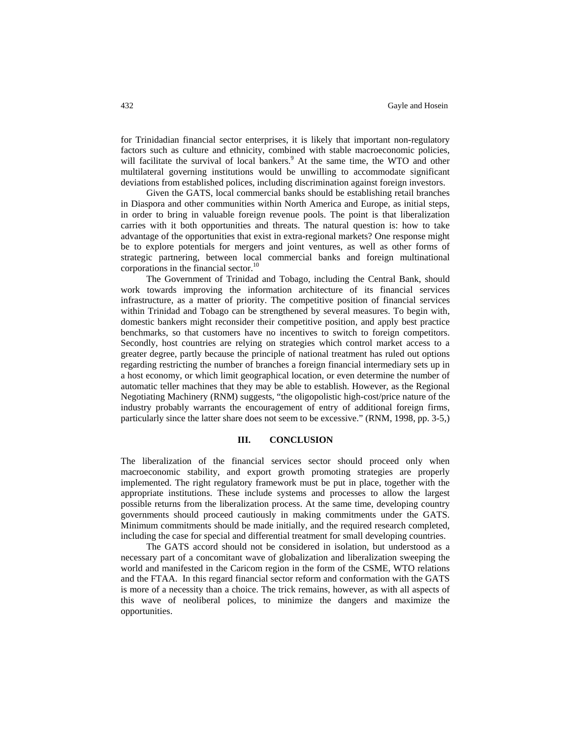for Trinidadian financial sector enterprises, it is likely that important non-regulatory factors such as culture and ethnicity, combined with stable macroeconomic policies, will facilitate the survival of local bankers.<sup>9</sup> At the same time, the WTO and other multilateral governing institutions would be unwilling to accommodate significant deviations from established polices, including discrimination against foreign investors.

Given the GATS, local commercial banks should be establishing retail branches in Diaspora and other communities within North America and Europe, as initial steps, in order to bring in valuable foreign revenue pools. The point is that liberalization carries with it both opportunities and threats. The natural question is: how to take advantage of the opportunities that exist in extra-regional markets? One response might be to explore potentials for mergers and joint ventures, as well as other forms of strategic partnering, between local commercial banks and foreign multinational corporations in the financial sector.<sup>10</sup>

The Government of Trinidad and Tobago, including the Central Bank, should work towards improving the information architecture of its financial services infrastructure, as a matter of priority. The competitive position of financial services within Trinidad and Tobago can be strengthened by several measures. To begin with, domestic bankers might reconsider their competitive position, and apply best practice benchmarks, so that customers have no incentives to switch to foreign competitors. Secondly, host countries are relying on strategies which control market access to a greater degree, partly because the principle of national treatment has ruled out options regarding restricting the number of branches a foreign financial intermediary sets up in a host economy, or which limit geographical location, or even determine the number of automatic teller machines that they may be able to establish. However, as the Regional Negotiating Machinery (RNM) suggests, "the oligopolistic high-cost/price nature of the industry probably warrants the encouragement of entry of additional foreign firms, particularly since the latter share does not seem to be excessive." (RNM, 1998, pp. 3-5,)

#### **III. CONCLUSION**

The liberalization of the financial services sector should proceed only when macroeconomic stability, and export growth promoting strategies are properly implemented. The right regulatory framework must be put in place, together with the appropriate institutions. These include systems and processes to allow the largest possible returns from the liberalization process. At the same time, developing country governments should proceed cautiously in making commitments under the GATS. Minimum commitments should be made initially, and the required research completed, including the case for special and differential treatment for small developing countries.

The GATS accord should not be considered in isolation, but understood as a necessary part of a concomitant wave of globalization and liberalization sweeping the world and manifested in the Caricom region in the form of the CSME, WTO relations and the FTAA. In this regard financial sector reform and conformation with the GATS is more of a necessity than a choice. The trick remains, however, as with all aspects of this wave of neoliberal polices, to minimize the dangers and maximize the opportunities.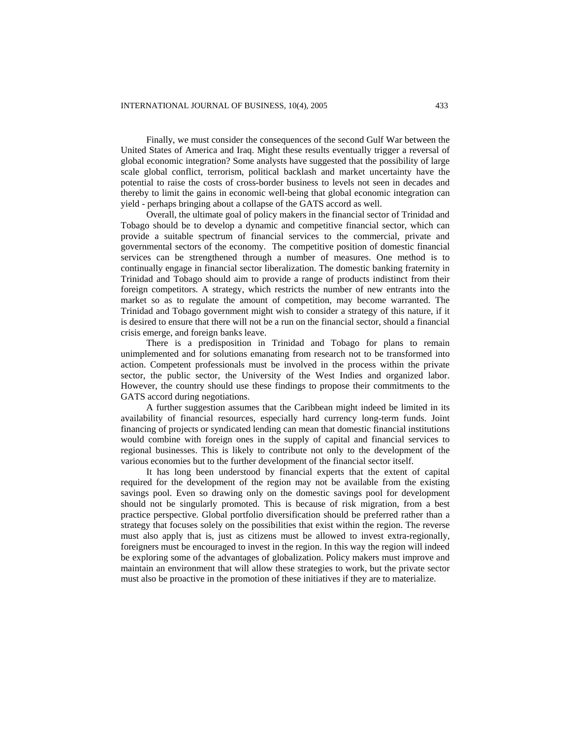Finally, we must consider the consequences of the second Gulf War between the United States of America and Iraq. Might these results eventually trigger a reversal of global economic integration? Some analysts have suggested that the possibility of large scale global conflict, terrorism, political backlash and market uncertainty have the potential to raise the costs of cross-border business to levels not seen in decades and thereby to limit the gains in economic well-being that global economic integration can yield - perhaps bringing about a collapse of the GATS accord as well.

Overall, the ultimate goal of policy makers in the financial sector of Trinidad and Tobago should be to develop a dynamic and competitive financial sector, which can provide a suitable spectrum of financial services to the commercial, private and governmental sectors of the economy. The competitive position of domestic financial services can be strengthened through a number of measures. One method is to continually engage in financial sector liberalization. The domestic banking fraternity in Trinidad and Tobago should aim to provide a range of products indistinct from their foreign competitors. A strategy, which restricts the number of new entrants into the market so as to regulate the amount of competition, may become warranted. The Trinidad and Tobago government might wish to consider a strategy of this nature, if it is desired to ensure that there will not be a run on the financial sector, should a financial crisis emerge, and foreign banks leave.

There is a predisposition in Trinidad and Tobago for plans to remain unimplemented and for solutions emanating from research not to be transformed into action. Competent professionals must be involved in the process within the private sector, the public sector, the University of the West Indies and organized labor. However, the country should use these findings to propose their commitments to the GATS accord during negotiations.

A further suggestion assumes that the Caribbean might indeed be limited in its availability of financial resources, especially hard currency long-term funds. Joint financing of projects or syndicated lending can mean that domestic financial institutions would combine with foreign ones in the supply of capital and financial services to regional businesses. This is likely to contribute not only to the development of the various economies but to the further development of the financial sector itself.

It has long been understood by financial experts that the extent of capital required for the development of the region may not be available from the existing savings pool. Even so drawing only on the domestic savings pool for development should not be singularly promoted. This is because of risk migration, from a best practice perspective. Global portfolio diversification should be preferred rather than a strategy that focuses solely on the possibilities that exist within the region. The reverse must also apply that is, just as citizens must be allowed to invest extra-regionally, foreigners must be encouraged to invest in the region. In this way the region will indeed be exploring some of the advantages of globalization. Policy makers must improve and maintain an environment that will allow these strategies to work, but the private sector must also be proactive in the promotion of these initiatives if they are to materialize.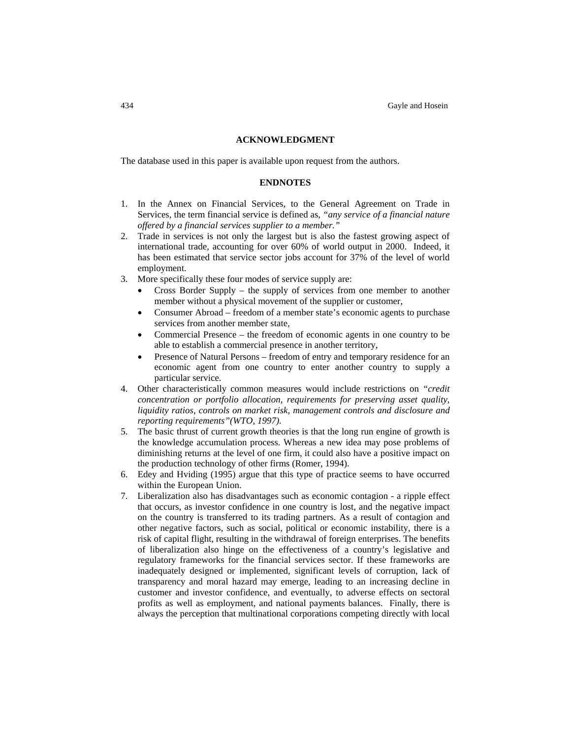#### **ACKNOWLEDGMENT**

The database used in this paper is available upon request from the authors.

#### **ENDNOTES**

- 1. In the Annex on Financial Services, to the General Agreement on Trade in Services, the term financial service is defined as*, "any service of a financial nature offered by a financial services supplier to a member."*
- 2. Trade in services is not only the largest but is also the fastest growing aspect of international trade, accounting for over 60% of world output in 2000. Indeed, it has been estimated that service sector jobs account for 37% of the level of world employment.
- 3. More specifically these four modes of service supply are:
	- Cross Border Supply the supply of services from one member to another member without a physical movement of the supplier or customer,
	- Consumer Abroad freedom of a member state's economic agents to purchase services from another member state,
	- Commercial Presence the freedom of economic agents in one country to be able to establish a commercial presence in another territory,
	- Presence of Natural Persons freedom of entry and temporary residence for an economic agent from one country to enter another country to supply a particular service.
- 4. Other characteristically common measures would include restrictions on *"credit concentration or portfolio allocation, requirements for preserving asset quality, liquidity ratios, controls on market risk, management controls and disclosure and reporting requirements"(WTO, 1997).*
- 5. The basic thrust of current growth theories is that the long run engine of growth is the knowledge accumulation process. Whereas a new idea may pose problems of diminishing returns at the level of one firm, it could also have a positive impact on the production technology of other firms (Romer, 1994).
- 6. Edey and Hviding (1995) argue that this type of practice seems to have occurred within the European Union.
- 7. Liberalization also has disadvantages such as economic contagion a ripple effect that occurs, as investor confidence in one country is lost, and the negative impact on the country is transferred to its trading partners. As a result of contagion and other negative factors, such as social, political or economic instability, there is a risk of capital flight, resulting in the withdrawal of foreign enterprises. The benefits of liberalization also hinge on the effectiveness of a country's legislative and regulatory frameworks for the financial services sector. If these frameworks are inadequately designed or implemented, significant levels of corruption, lack of transparency and moral hazard may emerge, leading to an increasing decline in customer and investor confidence, and eventually, to adverse effects on sectoral profits as well as employment, and national payments balances. Finally, there is always the perception that multinational corporations competing directly with local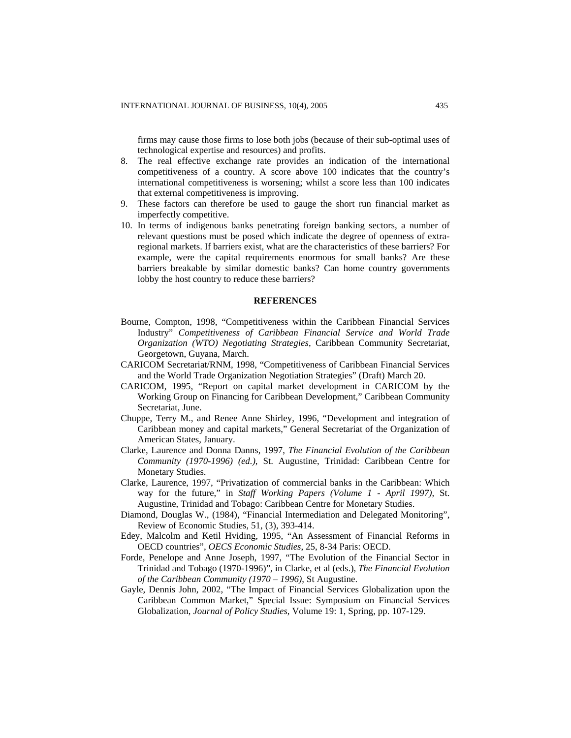firms may cause those firms to lose both jobs (because of their sub-optimal uses of technological expertise and resources) and profits.

- 8. The real effective exchange rate provides an indication of the international competitiveness of a country. A score above 100 indicates that the country's international competitiveness is worsening; whilst a score less than 100 indicates that external competitiveness is improving.
- 9. These factors can therefore be used to gauge the short run financial market as imperfectly competitive.
- 10. In terms of indigenous banks penetrating foreign banking sectors, a number of relevant questions must be posed which indicate the degree of openness of extraregional markets. If barriers exist, what are the characteristics of these barriers? For example, were the capital requirements enormous for small banks? Are these barriers breakable by similar domestic banks? Can home country governments lobby the host country to reduce these barriers?

### **REFERENCES**

- Bourne, Compton, 1998, "Competitiveness within the Caribbean Financial Services Industry" *Competitiveness of Caribbean Financial Service and World Trade Organization (WTO) Negotiating Strategies*, Caribbean Community Secretariat, Georgetown, Guyana, March.
- CARICOM Secretariat/RNM, 1998, "Competitiveness of Caribbean Financial Services and the World Trade Organization Negotiation Strategies" (Draft) March 20.
- CARICOM, 1995, "Report on capital market development in CARICOM by the Working Group on Financing for Caribbean Development," Caribbean Community Secretariat, June.
- Chuppe, Terry M., and Renee Anne Shirley, 1996, "Development and integration of Caribbean money and capital markets," General Secretariat of the Organization of American States, January.
- Clarke, Laurence and Donna Danns, 1997, *The Financial Evolution of the Caribbean Community (1970-1996) (ed.)*, St. Augustine, Trinidad: Caribbean Centre for Monetary Studies.
- Clarke, Laurence, 1997, "Privatization of commercial banks in the Caribbean: Which way for the future," in *Staff Working Papers (Volume 1 - April 1997)*, St. Augustine, Trinidad and Tobago: Caribbean Centre for Monetary Studies.
- Diamond, Douglas W., (1984), "Financial Intermediation and Delegated Monitoring", Review of Economic Studies, 51, (3), 393-414.
- Edey, Malcolm and Ketil Hviding, 1995, "An Assessment of Financial Reforms in OECD countries", *OECS Economic Studies*, 25, 8-34 Paris: OECD.
- Forde, Penelope and Anne Joseph, 1997, "The Evolution of the Financial Sector in Trinidad and Tobago (1970-1996)", in Clarke, et al (eds.), *The Financial Evolution of the Caribbean Community (1970 – 1996)*, St Augustine.
- Gayle, Dennis John, 2002, "The Impact of Financial Services Globalization upon the Caribbean Common Market," Special Issue: Symposium on Financial Services Globalization, *Journal of Policy Studies*, Volume 19: 1, Spring, pp. 107-129.